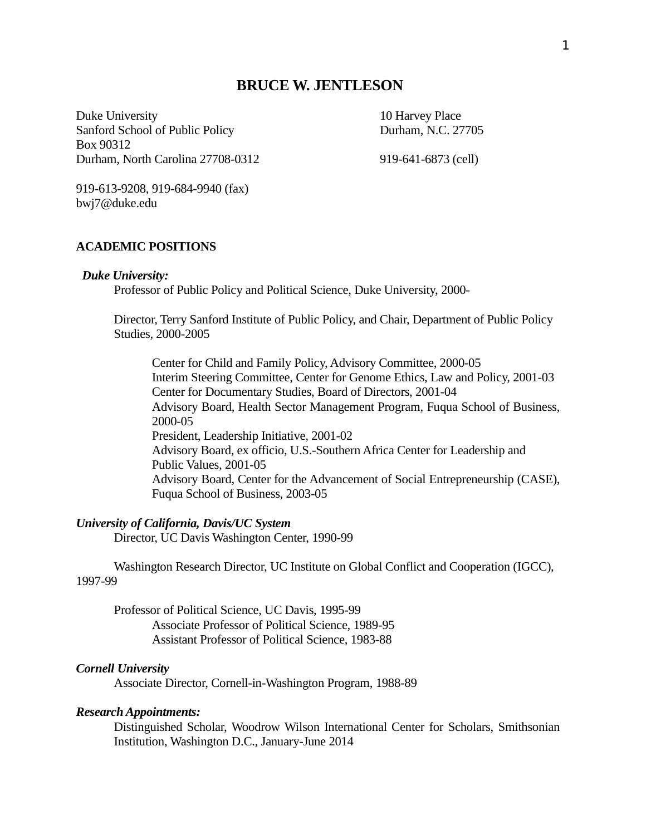# **BRUCE W. JENTLESON**

Duke University 10 Harvey Place Sanford School of Public Policy Durham, N.C. 27705 Box 90312 Durham, North Carolina 27708-0312 919-641-6873 (cell)

919-613-9208, 919-684-9940 (fax) bwj7@duke.edu

### **ACADEMIC POSITIONS**

#### *Duke University:*

Professor of Public Policy and Political Science, Duke University, 2000-

Director, Terry Sanford Institute of Public Policy, and Chair, Department of Public Policy Studies, 2000-2005

Center for Child and Family Policy, Advisory Committee, 2000-05 Interim Steering Committee, Center for Genome Ethics, Law and Policy, 2001-03 Center for Documentary Studies, Board of Directors, 2001-04 Advisory Board, Health Sector Management Program, Fuqua School of Business, 2000-05 President, Leadership Initiative, 2001-02 Advisory Board, ex officio, U.S.-Southern Africa Center for Leadership and Public Values, 2001-05 Advisory Board, Center for the Advancement of Social Entrepreneurship (CASE), Fuqua School of Business, 2003-05

#### *University of California, Davis/UC System*

Director, UC Davis Washington Center, 1990-99

Washington Research Director, UC Institute on Global Conflict and Cooperation (IGCC), 1997-99

Professor of Political Science, UC Davis, 1995-99 Associate Professor of Political Science, 1989-95 Assistant Professor of Political Science, 1983-88

#### *Cornell University*

Associate Director, Cornell-in-Washington Program, 1988-89

#### *Research Appointments:*

Distinguished Scholar, Woodrow Wilson International Center for Scholars, Smithsonian Institution, Washington D.C., January-June 2014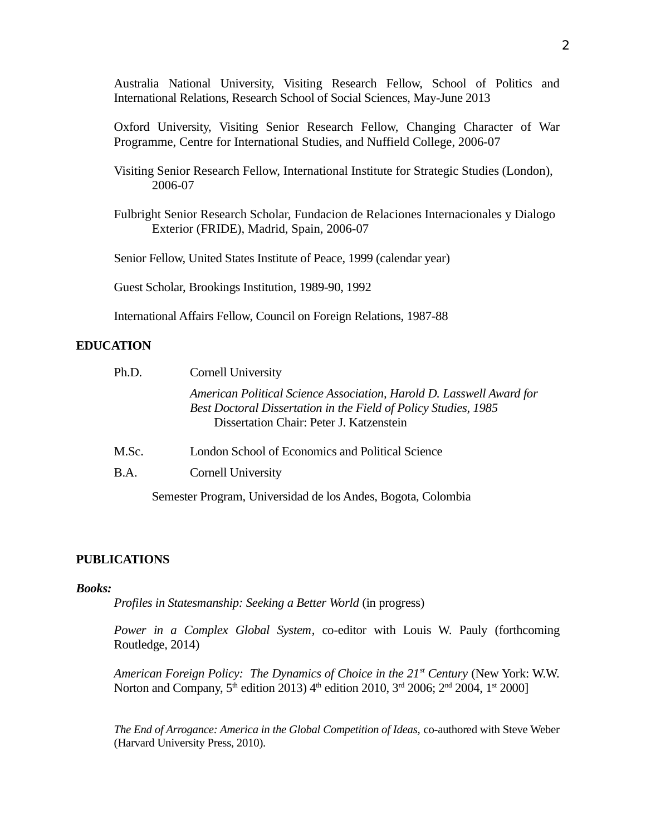Australia National University, Visiting Research Fellow, School of Politics and International Relations, Research School of Social Sciences, May-June 2013

Oxford University, Visiting Senior Research Fellow, Changing Character of War Programme, Centre for International Studies, and Nuffield College, 2006-07

Visiting Senior Research Fellow, International Institute for Strategic Studies (London), 2006-07

Fulbright Senior Research Scholar, Fundacion de Relaciones Internacionales y Dialogo Exterior (FRIDE), Madrid, Spain, 2006-07

Senior Fellow, United States Institute of Peace, 1999 (calendar year)

Guest Scholar, Brookings Institution, 1989-90, 1992

International Affairs Fellow, Council on Foreign Relations, 1987-88

#### **EDUCATION**

| Ph.D. | Cornell University                                                                                                                                                                  |
|-------|-------------------------------------------------------------------------------------------------------------------------------------------------------------------------------------|
|       | American Political Science Association, Harold D. Lasswell Award for<br>Best Doctoral Dissertation in the Field of Policy Studies, 1985<br>Dissertation Chair: Peter J. Katzenstein |
| M.Sc. | London School of Economics and Political Science                                                                                                                                    |
| B.A.  | <b>Cornell University</b>                                                                                                                                                           |
|       | Semester Program, Universidad de los Andes, Bogota, Colombia                                                                                                                        |

#### **PUBLICATIONS**

#### *Books:*

*Profiles in Statesmanship: Seeking a Better World* (in progress)

*Power in a Complex Global System*, co-editor with Louis W. Pauly (forthcoming Routledge, 2014)

*American Foreign Policy: The Dynamics of Choice in the 21st Century* (New York: W.W. Norton and Company,  $5^{\text{th}}$  edition 2013) 4<sup>th</sup> edition 2010, 3<sup>rd</sup> 2006; 2<sup>nd</sup> 2004, 1<sup>st</sup> 2000]

*The End of Arrogance: America in the Global Competition of Ideas,* co-authored with Steve Weber (Harvard University Press, 2010).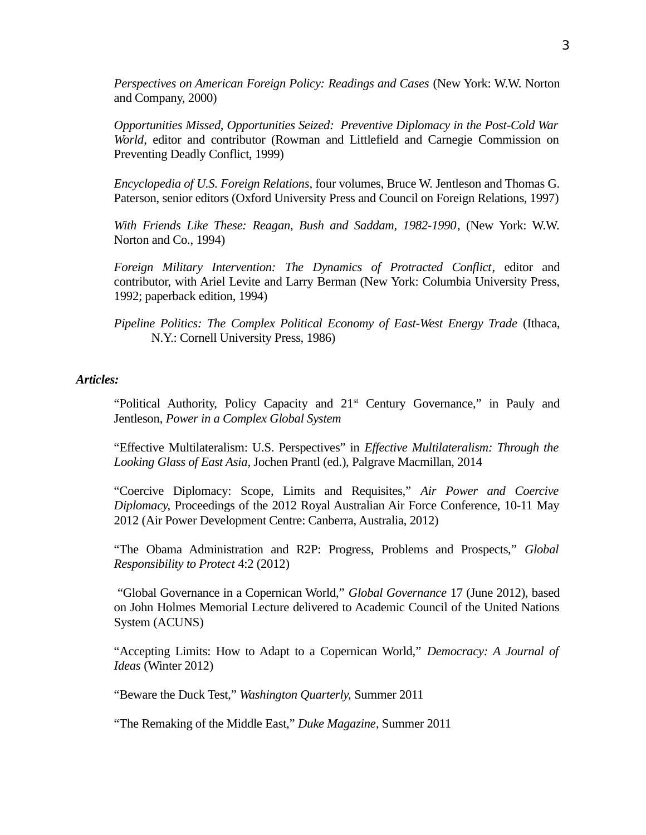*Perspectives on American Foreign Policy: Readings and Cases* (New York: W.W. Norton and Company, 2000)

*Opportunities Missed, Opportunities Seized: Preventive Diplomacy in the Post-Cold War World*, editor and contributor (Rowman and Littlefield and Carnegie Commission on Preventing Deadly Conflict, 1999)

*Encyclopedia of U.S. Foreign Relations*, four volumes, Bruce W. Jentleson and Thomas G. Paterson, senior editors (Oxford University Press and Council on Foreign Relations, 1997)

*With Friends Like These: Reagan, Bush and Saddam, 1982-1990*, (New York: W.W. Norton and Co., 1994)

*Foreign Military Intervention: The Dynamics of Protracted Conflict*, editor and contributor, with Ariel Levite and Larry Berman (New York: Columbia University Press, 1992; paperback edition, 1994)

*Pipeline Politics: The Complex Political Economy of East-West Energy Trade* (Ithaca, N.Y.: Cornell University Press, 1986)

## *Articles:*

"Political Authority, Policy Capacity and 21<sup>st</sup> Century Governance," in Pauly and Jentleson, *Power in a Complex Global System* 

"Effective Multilateralism: U.S. Perspectives" in *Effective Multilateralism: Through the Looking Glass of East Asia*, Jochen Prantl (ed.), Palgrave Macmillan, 2014

"Coercive Diplomacy: Scope, Limits and Requisites," *Air Power and Coercive Diplomacy,* Proceedings of the 2012 Royal Australian Air Force Conference, 10-11 May 2012 (Air Power Development Centre: Canberra, Australia, 2012)

"The Obama Administration and R2P: Progress, Problems and Prospects," *Global Responsibility to Protect* 4:2 (2012)

 "Global Governance in a Copernican World," *Global Governance* 17 (June 2012), based on John Holmes Memorial Lecture delivered to Academic Council of the United Nations System (ACUNS)

"Accepting Limits: How to Adapt to a Copernican World," *Democracy: A Journal of Ideas* (Winter 2012)

"Beware the Duck Test," *Washington Quarterly,* Summer 2011

"The Remaking of the Middle East," *Duke Magazine*, Summer 2011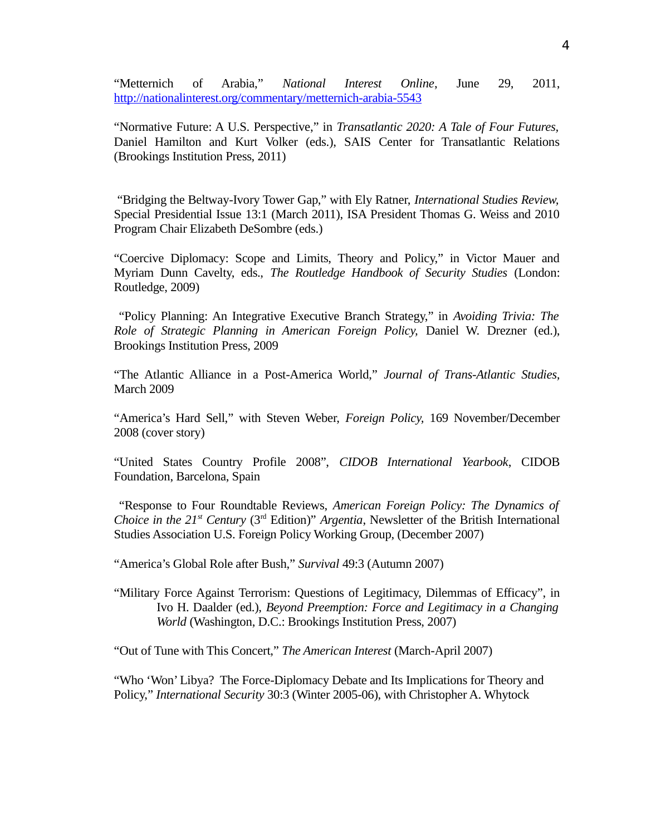"Metternich of Arabia," *National Interest Online*, June 29, 2011, <http://nationalinterest.org/commentary/metternich-arabia-5543>

"Normative Future: A U.S. Perspective," in *Transatlantic 2020: A Tale of Four Futures,* Daniel Hamilton and Kurt Volker (eds.), SAIS Center for Transatlantic Relations (Brookings Institution Press, 2011)

 "Bridging the Beltway-Ivory Tower Gap," with Ely Ratner, *International Studies Review,* Special Presidential Issue 13:1 (March 2011), ISA President Thomas G. Weiss and 2010 Program Chair Elizabeth DeSombre (eds.)

"Coercive Diplomacy: Scope and Limits, Theory and Policy," in Victor Mauer and Myriam Dunn Cavelty, eds., *The Routledge Handbook of Security Studies* (London: Routledge, 2009)

 "Policy Planning: An Integrative Executive Branch Strategy," in *Avoiding Trivia: The Role of Strategic Planning in American Foreign Policy,* Daniel W. Drezner (ed.), Brookings Institution Press, 2009

"The Atlantic Alliance in a Post-America World," *Journal of Trans-Atlantic Studies,* March 2009

"America's Hard Sell," with Steven Weber, *Foreign Policy,* 169 November/December 2008 (cover story)

"United States Country Profile 2008", *CIDOB International Yearbook*, CIDOB Foundation, Barcelona, Spain

 "Response to Four Roundtable Reviews, *American Foreign Policy: The Dynamics of Choice in the 21<sup>st</sup> Century* ( $3<sup>rd</sup>$  Edition)" *Argentia*, Newsletter of the British International Studies Association U.S. Foreign Policy Working Group, (December 2007)

"America's Global Role after Bush," *Survival* 49:3 (Autumn 2007)

"Military Force Against Terrorism: Questions of Legitimacy, Dilemmas of Efficacy", in Ivo H. Daalder (ed.), *Beyond Preemption: Force and Legitimacy in a Changing World* (Washington, D.C.: Brookings Institution Press, 2007)

"Out of Tune with This Concert," *The American Interest* (March-April 2007)

"Who 'Won' Libya? The Force-Diplomacy Debate and Its Implications for Theory and Policy," *International Security* 30:3 (Winter 2005-06), with Christopher A. Whytock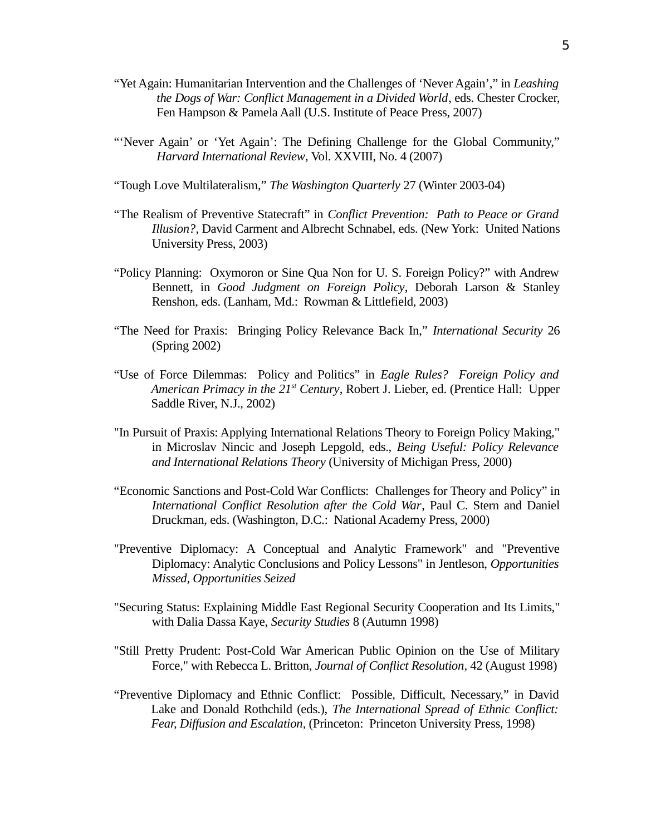- "Yet Again: Humanitarian Intervention and the Challenges of 'Never Again'," in *Leashing the Dogs of War: Conflict Management in a Divided World*, eds. Chester Crocker, Fen Hampson & Pamela Aall (U.S. Institute of Peace Press, 2007)
- "'Never Again' or 'Yet Again': The Defining Challenge for the Global Community," *Harvard International Review*, Vol. XXVIII, No. 4 (2007)
- "Tough Love Multilateralism," *The Washington Quarterly* 27 (Winter 2003-04)
- "The Realism of Preventive Statecraft" in *Conflict Prevention: Path to Peace or Grand Illusion?*, David Carment and Albrecht Schnabel, eds. (New York: United Nations University Press, 2003)
- "Policy Planning: Oxymoron or Sine Qua Non for U. S. Foreign Policy?" with Andrew Bennett, in *Good Judgment on Foreign Policy*, Deborah Larson & Stanley Renshon, eds. (Lanham, Md.: Rowman & Littlefield, 2003)
- "The Need for Praxis: Bringing Policy Relevance Back In," *International Security* 26 (Spring 2002)
- "Use of Force Dilemmas: Policy and Politics" in *Eagle Rules? Foreign Policy and American Primacy in the 21st Century*, Robert J. Lieber, ed. (Prentice Hall: Upper Saddle River, N.J., 2002)
- "In Pursuit of Praxis: Applying International Relations Theory to Foreign Policy Making," in Microslav Nincic and Joseph Lepgold, eds., *Being Useful: Policy Relevance and International Relations Theory* (University of Michigan Press, 2000)
- "Economic Sanctions and Post-Cold War Conflicts: Challenges for Theory and Policy" in *International Conflict Resolution after the Cold War*, Paul C. Stern and Daniel Druckman, eds. (Washington, D.C.: National Academy Press, 2000)
- "Preventive Diplomacy: A Conceptual and Analytic Framework" and "Preventive Diplomacy: Analytic Conclusions and Policy Lessons" in Jentleson, *Opportunities Missed, Opportunities Seized*
- "Securing Status: Explaining Middle East Regional Security Cooperation and Its Limits," with Dalia Dassa Kaye, *Security Studies* 8 (Autumn 1998)
- "Still Pretty Prudent: Post-Cold War American Public Opinion on the Use of Military Force," with Rebecca L. Britton, *Journal of Conflict Resolution*, 42 (August 1998)
- "Preventive Diplomacy and Ethnic Conflict: Possible, Difficult, Necessary," in David Lake and Donald Rothchild (eds.), *The International Spread of Ethnic Conflict: Fear, Diffusion and Escalation*, (Princeton: Princeton University Press, 1998)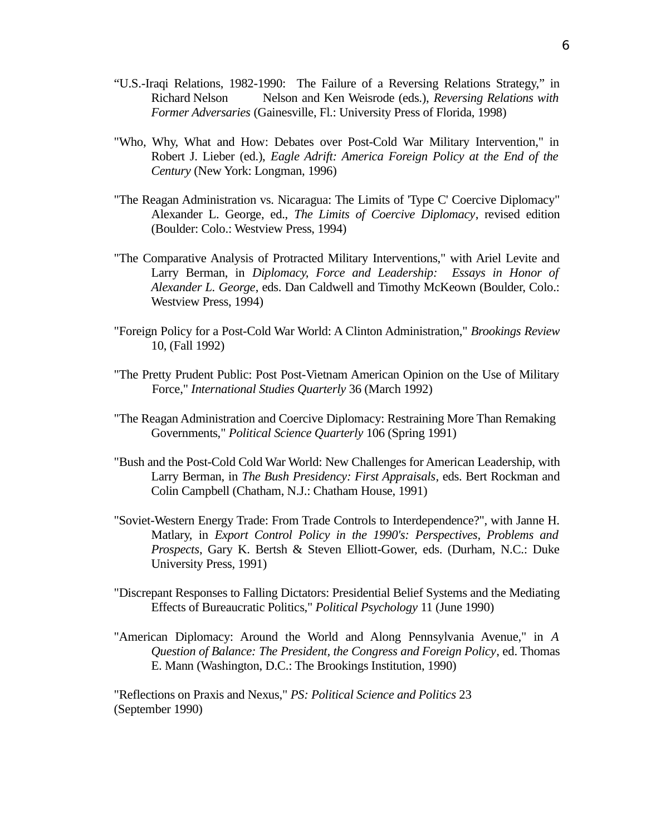- "U.S.-Iraqi Relations, 1982-1990: The Failure of a Reversing Relations Strategy," in Richard Nelson Nelson and Ken Weisrode (eds.), *Reversing Relations with Former Adversaries* (Gainesville, Fl.: University Press of Florida, 1998)
- "Who, Why, What and How: Debates over Post-Cold War Military Intervention," in Robert J. Lieber (ed.), *Eagle Adrift: America Foreign Policy at the End of the Century* (New York: Longman, 1996)
- "The Reagan Administration vs. Nicaragua: The Limits of 'Type C' Coercive Diplomacy" Alexander L. George, ed., *The Limits of Coercive Diplomacy*, revised edition (Boulder: Colo.: Westview Press, 1994)
- "The Comparative Analysis of Protracted Military Interventions," with Ariel Levite and Larry Berman, in *Diplomacy, Force and Leadership: Essays in Honor of Alexander L. George*, eds. Dan Caldwell and Timothy McKeown (Boulder, Colo.: Westview Press, 1994)
- "Foreign Policy for a Post-Cold War World: A Clinton Administration," *Brookings Review* 10, (Fall 1992)
- "The Pretty Prudent Public: Post Post-Vietnam American Opinion on the Use of Military Force," *International Studies Quarterly* 36 (March 1992)
- "The Reagan Administration and Coercive Diplomacy: Restraining More Than Remaking Governments," *Political Science Quarterly* 106 (Spring 1991)
- "Bush and the Post-Cold Cold War World: New Challenges for American Leadership, with Larry Berman, in *The Bush Presidency: First Appraisals*, eds. Bert Rockman and Colin Campbell (Chatham, N.J.: Chatham House, 1991)
- "Soviet-Western Energy Trade: From Trade Controls to Interdependence?", with Janne H. Matlary, in *Export Control Policy in the 1990's: Perspectives, Problems and Prospects*, Gary K. Bertsh & Steven Elliott-Gower, eds. (Durham, N.C.: Duke University Press, 1991)
- "Discrepant Responses to Falling Dictators: Presidential Belief Systems and the Mediating Effects of Bureaucratic Politics," *Political Psychology* 11 (June 1990)
- "American Diplomacy: Around the World and Along Pennsylvania Avenue," in *A Question of Balance: The President, the Congress and Foreign Policy*, ed. Thomas E. Mann (Washington, D.C.: The Brookings Institution, 1990)

"Reflections on Praxis and Nexus," *PS: Political Science and Politics* 23 (September 1990)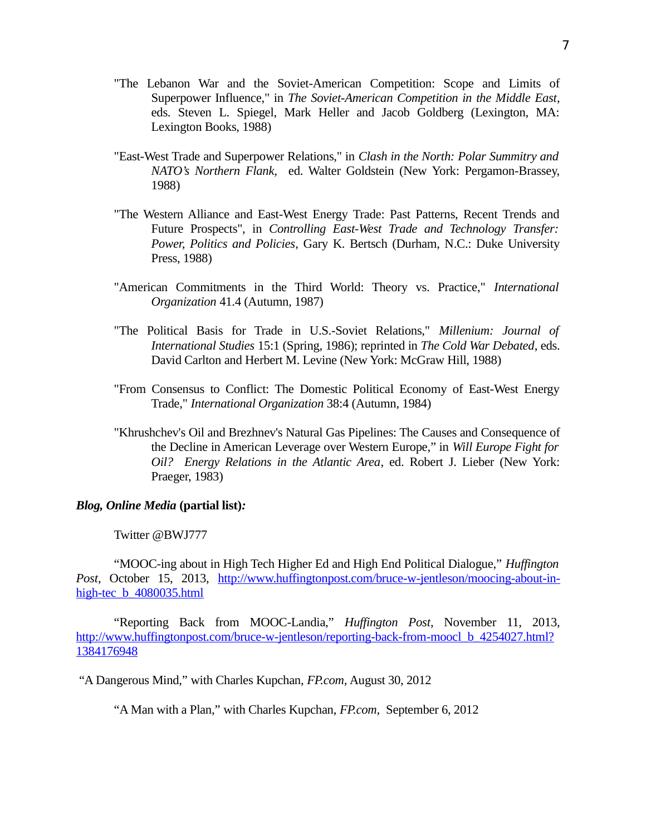- "The Lebanon War and the Soviet-American Competition: Scope and Limits of Superpower Influence," in *The Soviet-American Competition in the Middle East*, eds. Steven L. Spiegel, Mark Heller and Jacob Goldberg (Lexington, MA: Lexington Books, 1988)
- "East-West Trade and Superpower Relations," in *Clash in the North: Polar Summitry and NATO's Northern Flank,* ed. Walter Goldstein (New York: Pergamon-Brassey, 1988)
- "The Western Alliance and East-West Energy Trade: Past Patterns, Recent Trends and Future Prospects", in *Controlling East-West Trade and Technology Transfer: Power, Politics and Policies*, Gary K. Bertsch (Durham, N.C.: Duke University Press, 1988)
- "American Commitments in the Third World: Theory vs. Practice," *International Organization* 41.4 (Autumn, 1987)
- "The Political Basis for Trade in U.S.-Soviet Relations," *Millenium: Journal of International Studies* 15:1 (Spring, 1986); reprinted in *The Cold War Debated*, eds. David Carlton and Herbert M. Levine (New York: McGraw Hill, 1988)
- "From Consensus to Conflict: The Domestic Political Economy of East-West Energy Trade," *International Organization* 38:4 (Autumn, 1984)
- "Khrushchev's Oil and Brezhnev's Natural Gas Pipelines: The Causes and Consequence of the Decline in American Leverage over Western Europe," in *Will Europe Fight for Oil? Energy Relations in the Atlantic Area*, ed. Robert J. Lieber (New York: Praeger, 1983)

## *Blog, Online Media* **(partial list)***:*

### Twitter @BWJ777

"MOOC-ing about in High Tech Higher Ed and High End Political Dialogue," *Huffington Post*, October 15, 2013, [http://www.huffingtonpost.com/bruce-w-jentleson/moocing-about-in](http://www.huffingtonpost.com/bruce-w-jentleson/moocing-about-in-high-tec_b_4080035.html)high-tec b 4080035.html

"Reporting Back from MOOC-Landia," *Huffington Post*, November 11, 2013, [http://www.huffingtonpost.com/bruce-w-jentleson/reporting-back-from-moocl\\_b\\_4254027.html?](http://www.huffingtonpost.com/bruce-w-jentleson/reporting-back-from-moocl_b_4254027.html?1384176948) [1384176948](http://www.huffingtonpost.com/bruce-w-jentleson/reporting-back-from-moocl_b_4254027.html?1384176948)

"A Dangerous Mind," with Charles Kupchan, *FP.com,* August 30, 2012

"A Man with a Plan," with Charles Kupchan, *FP.com,* September 6, 2012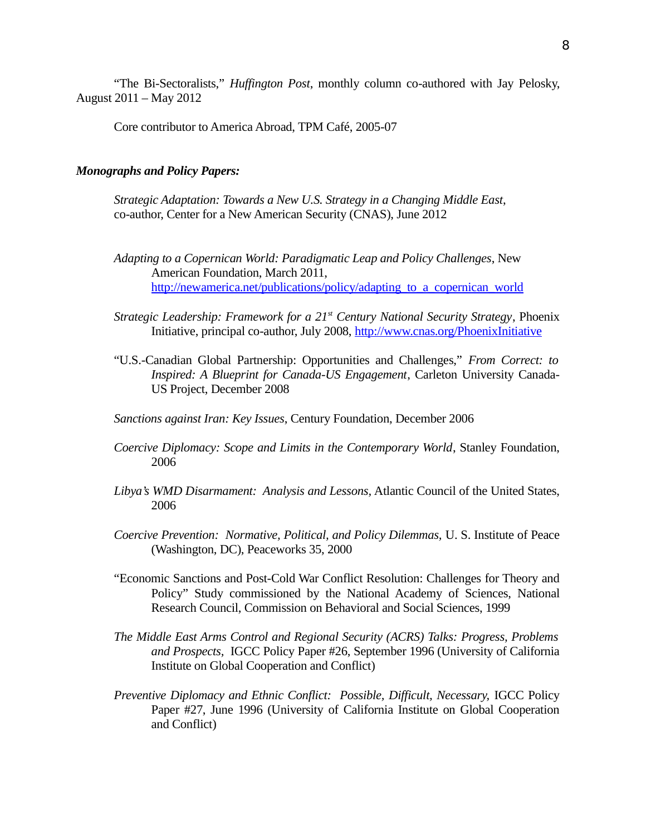"The Bi-Sectoralists," *Huffington Post*, monthly column co-authored with Jay Pelosky, August 2011 – May 2012

Core contributor to America Abroad, TPM Café, 2005-07

#### *Monographs and Policy Papers:*

*Strategic Adaptation: Towards a New U.S. Strategy in a Changing Middle East*, co-author, Center for a New American Security (CNAS), June 2012

- *Adapting to a Copernican World: Paradigmatic Leap and Policy Challenges*, New American Foundation, March 2011, [http://newamerica.net/publications/policy/adapting\\_to\\_a\\_copernican\\_world](http://newamerica.net/publications/policy/adapting_to_a_copernican_world)
- *Strategic Leadership: Framework for a 21st Century National Security Strategy*, Phoenix Initiative, principal co-author, July 2008,<http://www.cnas.org/PhoenixInitiative>
- "U.S.-Canadian Global Partnership: Opportunities and Challenges," *From Correct: to Inspired: A Blueprint for Canada-US Engagement*, Carleton University Canada-US Project, December 2008

*Sanctions against Iran: Key Issues*, Century Foundation, December 2006

- *Coercive Diplomacy: Scope and Limits in the Contemporary World*, Stanley Foundation, 2006
- *Libya's WMD Disarmament: Analysis and Lessons,* Atlantic Council of the United States, 2006
- *Coercive Prevention: Normative, Political, and Policy Dilemmas,* U. S. Institute of Peace (Washington, DC), Peaceworks 35, 2000
- "Economic Sanctions and Post-Cold War Conflict Resolution: Challenges for Theory and Policy" Study commissioned by the National Academy of Sciences, National Research Council, Commission on Behavioral and Social Sciences, 1999
- *The Middle East Arms Control and Regional Security (ACRS) Talks: Progress, Problems and Prospects,* IGCC Policy Paper #26, September 1996 (University of California Institute on Global Cooperation and Conflict)
- *Preventive Diplomacy and Ethnic Conflict: Possible, Difficult, Necessary, IGCC Policy* Paper #27, June 1996 (University of California Institute on Global Cooperation and Conflict)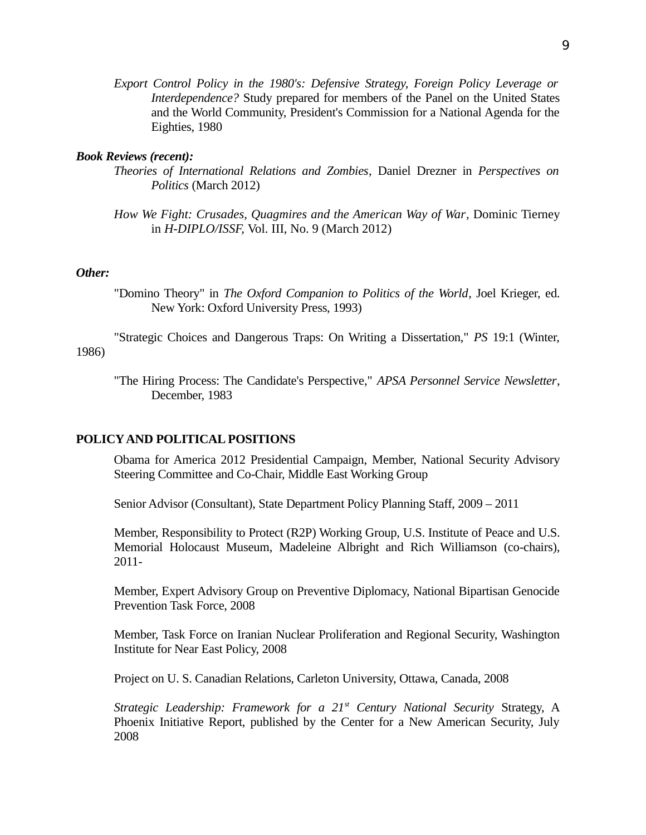*Export Control Policy in the 1980's: Defensive Strategy, Foreign Policy Leverage or Interdependence?* Study prepared for members of the Panel on the United States and the World Community, President's Commission for a National Agenda for the Eighties, 1980

### *Book Reviews (recent):*

- *Theories of International Relations and Zombies*, Daniel Drezner in *Perspectives on Politics* (March 2012)
- *How We Fight: Crusades, Quagmires and the American Way of War*, Dominic Tierney in *H-DIPLO/ISSF,* Vol. III, No. 9 (March 2012)

#### *Other:*

"Domino Theory" in *The Oxford Companion to Politics of the World*, Joel Krieger, ed. New York: Oxford University Press, 1993)

"Strategic Choices and Dangerous Traps: On Writing a Dissertation," *PS* 19:1 (Winter, 1986)

"The Hiring Process: The Candidate's Perspective," *APSA Personnel Service Newsletter*, December, 1983

#### **POLICY AND POLITICAL POSITIONS**

Obama for America 2012 Presidential Campaign, Member, National Security Advisory Steering Committee and Co-Chair, Middle East Working Group

Senior Advisor (Consultant), State Department Policy Planning Staff, 2009 – 2011

Member, Responsibility to Protect (R2P) Working Group, U.S. Institute of Peace and U.S. Memorial Holocaust Museum, Madeleine Albright and Rich Williamson (co-chairs), 2011-

Member, Expert Advisory Group on Preventive Diplomacy, National Bipartisan Genocide Prevention Task Force, 2008

Member, Task Force on Iranian Nuclear Proliferation and Regional Security, Washington Institute for Near East Policy, 2008

Project on U. S. Canadian Relations, Carleton University, Ottawa, Canada, 2008

*Strategic Leadership: Framework for a 21st Century National Security* Strategy, A Phoenix Initiative Report, published by the Center for a New American Security, July 2008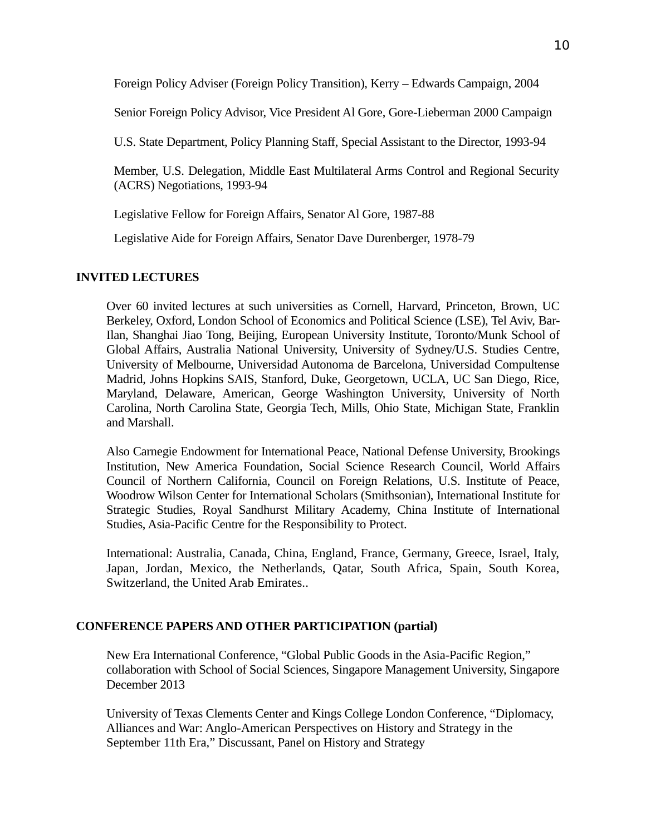Foreign Policy Adviser (Foreign Policy Transition), Kerry – Edwards Campaign, 2004

Senior Foreign Policy Advisor, Vice President Al Gore, Gore-Lieberman 2000 Campaign

U.S. State Department, Policy Planning Staff, Special Assistant to the Director, 1993-94

Member, U.S. Delegation, Middle East Multilateral Arms Control and Regional Security (ACRS) Negotiations, 1993-94

Legislative Fellow for Foreign Affairs, Senator Al Gore, 1987-88

Legislative Aide for Foreign Affairs, Senator Dave Durenberger, 1978-79

## **INVITED LECTURES**

Over 60 invited lectures at such universities as Cornell, Harvard, Princeton, Brown, UC Berkeley, Oxford, London School of Economics and Political Science (LSE), Tel Aviv, Bar-Ilan, Shanghai Jiao Tong, Beijing, European University Institute, Toronto/Munk School of Global Affairs, Australia National University, University of Sydney/U.S. Studies Centre, University of Melbourne, Universidad Autonoma de Barcelona, Universidad Compultense Madrid, Johns Hopkins SAIS, Stanford, Duke, Georgetown, UCLA, UC San Diego, Rice, Maryland, Delaware, American, George Washington University, University of North Carolina, North Carolina State, Georgia Tech, Mills, Ohio State, Michigan State, Franklin and Marshall.

Also Carnegie Endowment for International Peace, National Defense University, Brookings Institution, New America Foundation, Social Science Research Council, World Affairs Council of Northern California, Council on Foreign Relations, U.S. Institute of Peace, Woodrow Wilson Center for International Scholars (Smithsonian), International Institute for Strategic Studies, Royal Sandhurst Military Academy, China Institute of International Studies, Asia-Pacific Centre for the Responsibility to Protect.

International: Australia, Canada, China, England, France, Germany, Greece, Israel, Italy, Japan, Jordan, Mexico, the Netherlands, Qatar, South Africa, Spain, South Korea, Switzerland, the United Arab Emirates..

# **CONFERENCE PAPERS AND OTHER PARTICIPATION (partial)**

New Era International Conference, "Global Public Goods in the Asia-Pacific Region," collaboration with School of Social Sciences, Singapore Management University, Singapore December 2013

University of Texas Clements Center and Kings College London Conference, "Diplomacy, Alliances and War: Anglo-American Perspectives on History and Strategy in the September 11th Era," Discussant, Panel on History and Strategy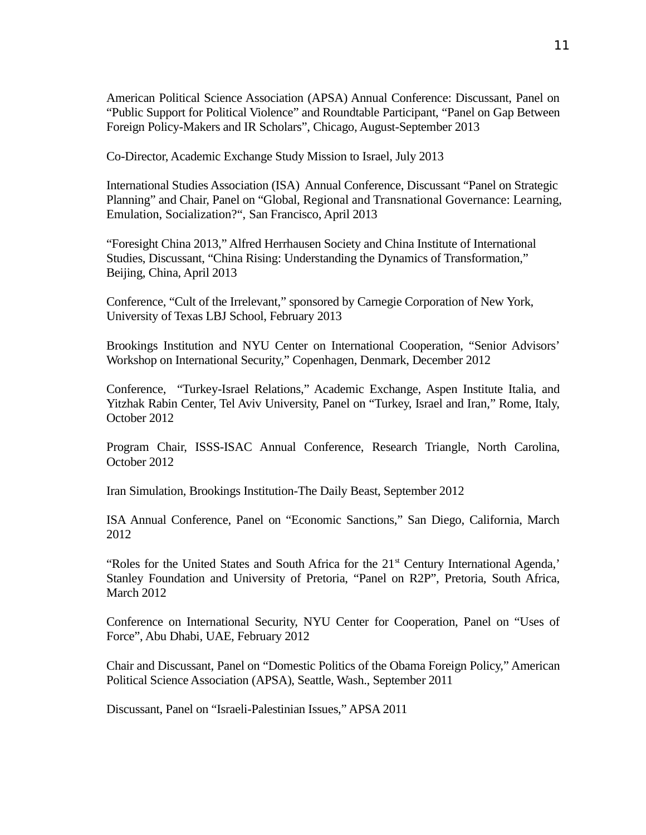American Political Science Association (APSA) Annual Conference: Discussant, Panel on "Public Support for Political Violence" and Roundtable Participant, "Panel on Gap Between Foreign Policy-Makers and IR Scholars", Chicago, August-September 2013

Co-Director, Academic Exchange Study Mission to Israel, July 2013

International Studies Association (ISA) Annual Conference, Discussant "Panel on Strategic Planning" and Chair, Panel on "Global, Regional and Transnational Governance: Learning, Emulation, Socialization?", San Francisco, April 2013

"Foresight China 2013," Alfred Herrhausen Society and China Institute of International Studies, Discussant, "China Rising: Understanding the Dynamics of Transformation," Beijing, China, April 2013

Conference, "Cult of the Irrelevant," sponsored by Carnegie Corporation of New York, University of Texas LBJ School, February 2013

Brookings Institution and NYU Center on International Cooperation, "Senior Advisors' Workshop on International Security," Copenhagen, Denmark, December 2012

Conference, "Turkey-Israel Relations," Academic Exchange, Aspen Institute Italia, and Yitzhak Rabin Center, Tel Aviv University, Panel on "Turkey, Israel and Iran," Rome, Italy, October 2012

Program Chair, ISSS-ISAC Annual Conference, Research Triangle, North Carolina, October 2012

Iran Simulation, Brookings Institution-The Daily Beast, September 2012

ISA Annual Conference, Panel on "Economic Sanctions," San Diego, California, March 2012

"Roles for the United States and South Africa for the 21<sup>st</sup> Century International Agenda,' Stanley Foundation and University of Pretoria, "Panel on R2P", Pretoria, South Africa, March 2012

Conference on International Security, NYU Center for Cooperation, Panel on "Uses of Force", Abu Dhabi, UAE, February 2012

Chair and Discussant, Panel on "Domestic Politics of the Obama Foreign Policy," American Political Science Association (APSA), Seattle, Wash., September 2011

Discussant, Panel on "Israeli-Palestinian Issues," APSA 2011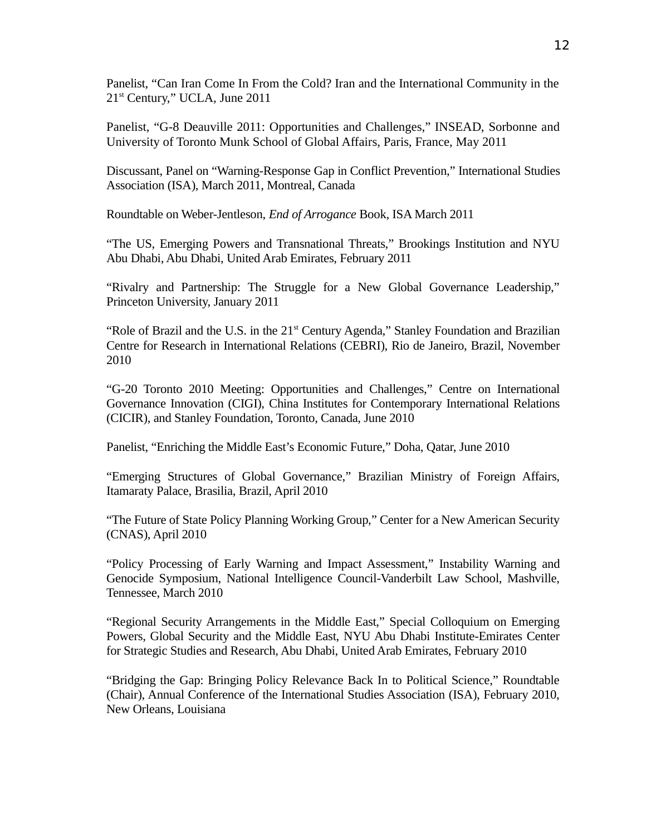Panelist, "Can Iran Come In From the Cold? Iran and the International Community in the 21<sup>st</sup> Century," UCLA, June 2011

Panelist, "G-8 Deauville 2011: Opportunities and Challenges," INSEAD, Sorbonne and University of Toronto Munk School of Global Affairs, Paris, France, May 2011

Discussant, Panel on "Warning-Response Gap in Conflict Prevention," International Studies Association (ISA), March 2011, Montreal, Canada

Roundtable on Weber-Jentleson, *End of Arrogance* Book, ISA March 2011

"The US, Emerging Powers and Transnational Threats," Brookings Institution and NYU Abu Dhabi, Abu Dhabi, United Arab Emirates, February 2011

"Rivalry and Partnership: The Struggle for a New Global Governance Leadership," Princeton University, January 2011

"Role of Brazil and the U.S. in the 21<sup>st</sup> Century Agenda," Stanley Foundation and Brazilian Centre for Research in International Relations (CEBRI), Rio de Janeiro, Brazil, November 2010

"G-20 Toronto 2010 Meeting: Opportunities and Challenges," Centre on International Governance Innovation (CIGI), China Institutes for Contemporary International Relations (CICIR), and Stanley Foundation, Toronto, Canada, June 2010

Panelist, "Enriching the Middle East's Economic Future," Doha, Qatar, June 2010

"Emerging Structures of Global Governance," Brazilian Ministry of Foreign Affairs, Itamaraty Palace, Brasilia, Brazil, April 2010

"The Future of State Policy Planning Working Group," Center for a New American Security (CNAS), April 2010

"Policy Processing of Early Warning and Impact Assessment," Instability Warning and Genocide Symposium, National Intelligence Council-Vanderbilt Law School, Mashville, Tennessee, March 2010

"Regional Security Arrangements in the Middle East," Special Colloquium on Emerging Powers, Global Security and the Middle East, NYU Abu Dhabi Institute-Emirates Center for Strategic Studies and Research, Abu Dhabi, United Arab Emirates, February 2010

"Bridging the Gap: Bringing Policy Relevance Back In to Political Science," Roundtable (Chair), Annual Conference of the International Studies Association (ISA), February 2010, New Orleans, Louisiana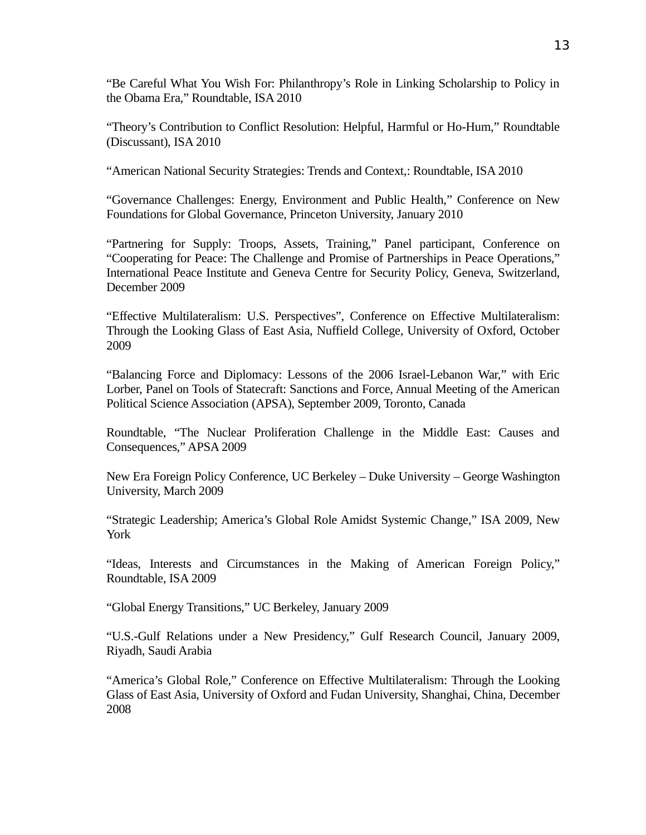"Be Careful What You Wish For: Philanthropy's Role in Linking Scholarship to Policy in the Obama Era," Roundtable, ISA 2010

"Theory's Contribution to Conflict Resolution: Helpful, Harmful or Ho-Hum," Roundtable (Discussant), ISA 2010

"American National Security Strategies: Trends and Context,: Roundtable, ISA 2010

"Governance Challenges: Energy, Environment and Public Health," Conference on New Foundations for Global Governance, Princeton University, January 2010

"Partnering for Supply: Troops, Assets, Training," Panel participant, Conference on "Cooperating for Peace: The Challenge and Promise of Partnerships in Peace Operations," International Peace Institute and Geneva Centre for Security Policy, Geneva, Switzerland, December 2009

"Effective Multilateralism: U.S. Perspectives", Conference on Effective Multilateralism: Through the Looking Glass of East Asia, Nuffield College, University of Oxford, October 2009

"Balancing Force and Diplomacy: Lessons of the 2006 Israel-Lebanon War," with Eric Lorber, Panel on Tools of Statecraft: Sanctions and Force, Annual Meeting of the American Political Science Association (APSA), September 2009, Toronto, Canada

Roundtable, "The Nuclear Proliferation Challenge in the Middle East: Causes and Consequences," APSA 2009

New Era Foreign Policy Conference, UC Berkeley – Duke University – George Washington University, March 2009

"Strategic Leadership; America's Global Role Amidst Systemic Change," ISA 2009, New York

"Ideas, Interests and Circumstances in the Making of American Foreign Policy," Roundtable, ISA 2009

"Global Energy Transitions," UC Berkeley, January 2009

"U.S.-Gulf Relations under a New Presidency," Gulf Research Council, January 2009, Riyadh, Saudi Arabia

"America's Global Role," Conference on Effective Multilateralism: Through the Looking Glass of East Asia, University of Oxford and Fudan University, Shanghai, China, December 2008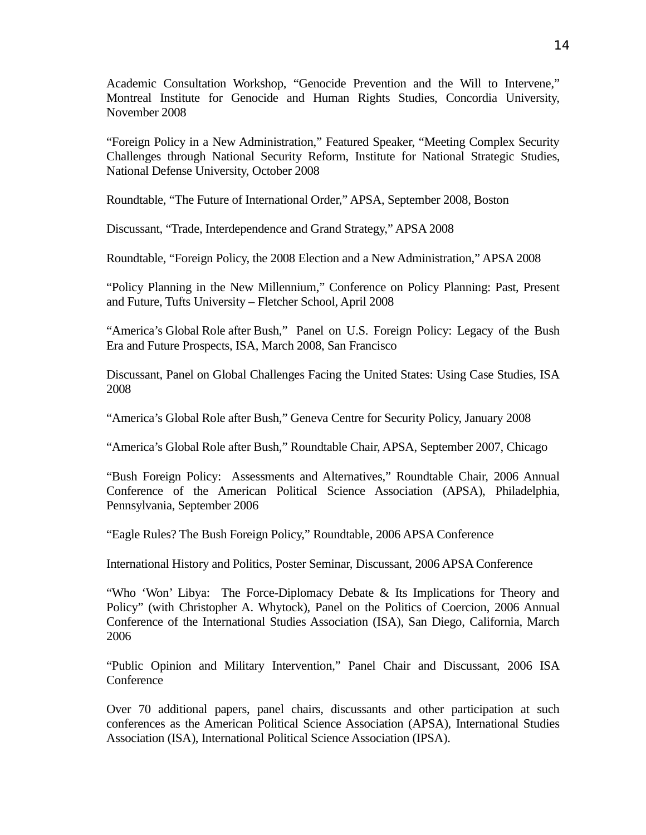Academic Consultation Workshop, "Genocide Prevention and the Will to Intervene," Montreal Institute for Genocide and Human Rights Studies, Concordia University, November 2008

"Foreign Policy in a New Administration," Featured Speaker, "Meeting Complex Security Challenges through National Security Reform, Institute for National Strategic Studies, National Defense University, October 2008

Roundtable, "The Future of International Order," APSA, September 2008, Boston

Discussant, "Trade, Interdependence and Grand Strategy," APSA 2008

Roundtable, "Foreign Policy, the 2008 Election and a New Administration," APSA 2008

"Policy Planning in the New Millennium," Conference on Policy Planning: Past, Present and Future, Tufts University – Fletcher School, April 2008

"America's Global Role after Bush," Panel on U.S. Foreign Policy: Legacy of the Bush Era and Future Prospects, ISA, March 2008, San Francisco

Discussant, Panel on Global Challenges Facing the United States: Using Case Studies, ISA 2008

"America's Global Role after Bush," Geneva Centre for Security Policy, January 2008

"America's Global Role after Bush," Roundtable Chair, APSA, September 2007, Chicago

"Bush Foreign Policy: Assessments and Alternatives," Roundtable Chair, 2006 Annual Conference of the American Political Science Association (APSA), Philadelphia, Pennsylvania, September 2006

"Eagle Rules? The Bush Foreign Policy," Roundtable, 2006 APSA Conference

International History and Politics, Poster Seminar, Discussant, 2006 APSA Conference

"Who 'Won' Libya: The Force-Diplomacy Debate & Its Implications for Theory and Policy" (with Christopher A. Whytock), Panel on the Politics of Coercion, 2006 Annual Conference of the International Studies Association (ISA), San Diego, California, March 2006

"Public Opinion and Military Intervention," Panel Chair and Discussant, 2006 ISA Conference

Over 70 additional papers, panel chairs, discussants and other participation at such conferences as the American Political Science Association (APSA), International Studies Association (ISA), International Political Science Association (IPSA).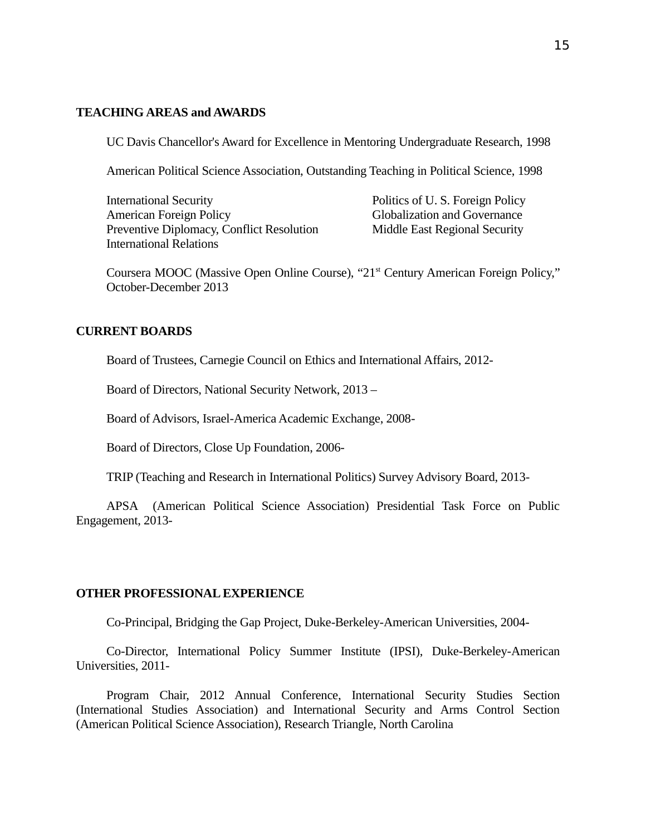## **TEACHING AREAS and AWARDS**

UC Davis Chancellor's Award for Excellence in Mentoring Undergraduate Research, 1998

American Political Science Association, Outstanding Teaching in Political Science, 1998

International Security Politics of U. S. Foreign Policy American Foreign Policy Globalization and Governance Preventive Diplomacy, Conflict Resolution Middle East Regional Security International Relations

Coursera MOOC (Massive Open Online Course), "21<sup>st</sup> Century American Foreign Policy," October-December 2013

## **CURRENT BOARDS**

Board of Trustees, Carnegie Council on Ethics and International Affairs, 2012-

Board of Directors, National Security Network, 2013 –

Board of Advisors, Israel-America Academic Exchange, 2008-

Board of Directors, Close Up Foundation, 2006-

TRIP (Teaching and Research in International Politics) Survey Advisory Board, 2013-

APSA (American Political Science Association) Presidential Task Force on Public Engagement, 2013-

#### **OTHER PROFESSIONAL EXPERIENCE**

Co-Principal, Bridging the Gap Project, Duke-Berkeley-American Universities, 2004-

Co-Director, International Policy Summer Institute (IPSI), Duke-Berkeley-American Universities, 2011-

Program Chair, 2012 Annual Conference, International Security Studies Section (International Studies Association) and International Security and Arms Control Section (American Political Science Association), Research Triangle, North Carolina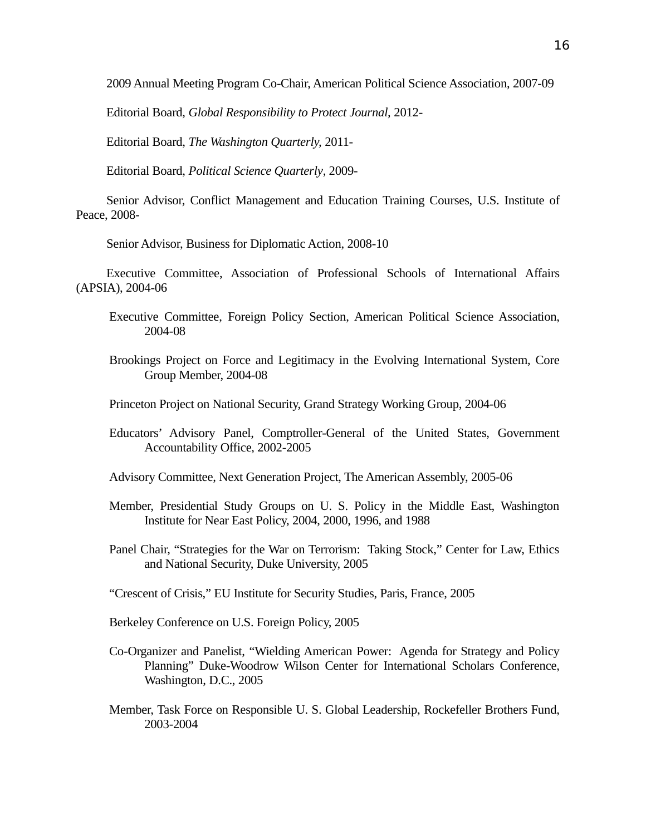2009 Annual Meeting Program Co-Chair, American Political Science Association, 2007-09

Editorial Board, *Global Responsibility to Protect Journal,* 2012-

Editorial Board, *The Washington Quarterly,* 2011-

Editorial Board, *Political Science Quarterly*, 2009-

Senior Advisor, Conflict Management and Education Training Courses, U.S. Institute of Peace, 2008-

Senior Advisor, Business for Diplomatic Action, 2008-10

Executive Committee, Association of Professional Schools of International Affairs (APSIA), 2004-06

- Executive Committee, Foreign Policy Section, American Political Science Association, 2004-08
- Brookings Project on Force and Legitimacy in the Evolving International System, Core Group Member, 2004-08

Princeton Project on National Security, Grand Strategy Working Group, 2004-06

Educators' Advisory Panel, Comptroller-General of the United States, Government Accountability Office, 2002-2005

Advisory Committee, Next Generation Project, The American Assembly, 2005-06

- Member, Presidential Study Groups on U. S. Policy in the Middle East, Washington Institute for Near East Policy, 2004, 2000, 1996, and 1988
- Panel Chair, "Strategies for the War on Terrorism: Taking Stock," Center for Law, Ethics and National Security, Duke University, 2005

"Crescent of Crisis," EU Institute for Security Studies, Paris, France, 2005

Berkeley Conference on U.S. Foreign Policy, 2005

- Co-Organizer and Panelist, "Wielding American Power: Agenda for Strategy and Policy Planning" Duke-Woodrow Wilson Center for International Scholars Conference, Washington, D.C., 2005
- Member, Task Force on Responsible U. S. Global Leadership, Rockefeller Brothers Fund, 2003-2004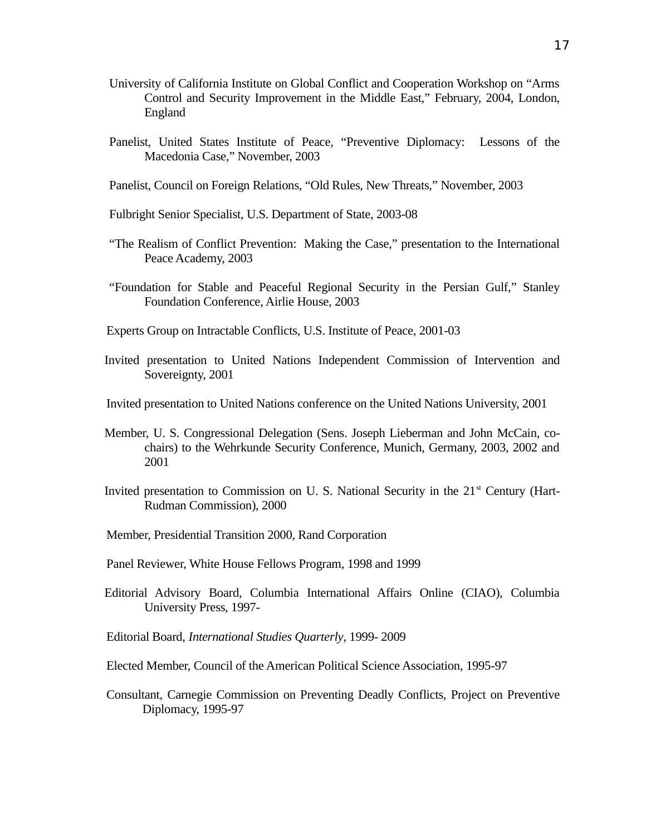- University of California Institute on Global Conflict and Cooperation Workshop on "Arms Control and Security Improvement in the Middle East," February, 2004, London, England
- Panelist, United States Institute of Peace, "Preventive Diplomacy: Lessons of the Macedonia Case," November, 2003
- Panelist, Council on Foreign Relations, "Old Rules, New Threats," November, 2003
- Fulbright Senior Specialist, U.S. Department of State, 2003-08
- "The Realism of Conflict Prevention: Making the Case," presentation to the International Peace Academy, 2003
- "Foundation for Stable and Peaceful Regional Security in the Persian Gulf," Stanley Foundation Conference, Airlie House, 2003
- Experts Group on Intractable Conflicts, U.S. Institute of Peace, 2001-03
- Invited presentation to United Nations Independent Commission of Intervention and Sovereignty, 2001
- Invited presentation to United Nations conference on the United Nations University, 2001
- Member, U. S. Congressional Delegation (Sens. Joseph Lieberman and John McCain, cochairs) to the Wehrkunde Security Conference, Munich, Germany, 2003, 2002 and 2001
- Invited presentation to Commission on U. S. National Security in the  $21<sup>st</sup>$  Century (Hart-Rudman Commission), 2000
- Member, Presidential Transition 2000, Rand Corporation
- Panel Reviewer, White House Fellows Program, 1998 and 1999
- Editorial Advisory Board, Columbia International Affairs Online (CIAO), Columbia University Press, 1997-
- Editorial Board, *International Studies Quarterly*, 1999- 2009
- Elected Member, Council of the American Political Science Association, 1995-97
- Consultant, Carnegie Commission on Preventing Deadly Conflicts, Project on Preventive Diplomacy, 1995-97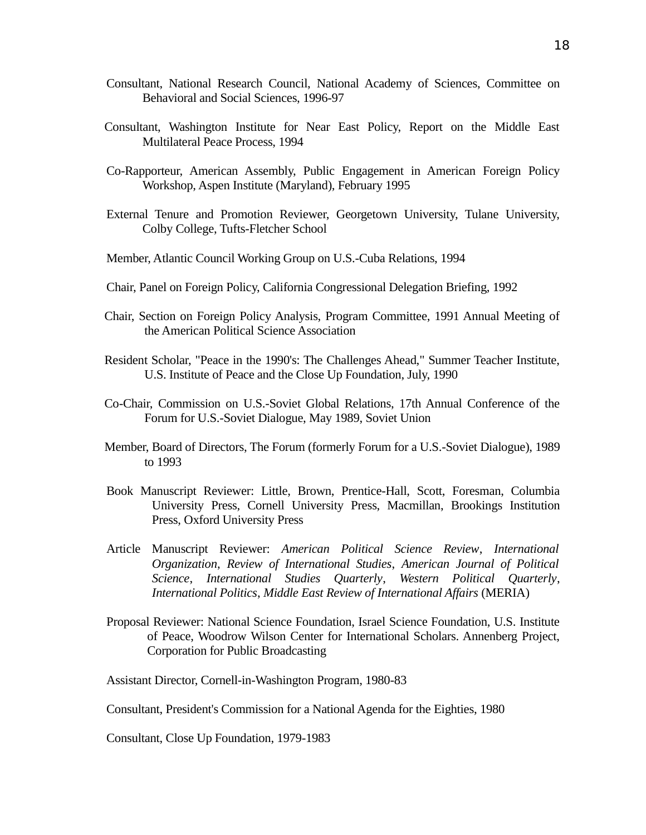- Consultant, National Research Council, National Academy of Sciences, Committee on Behavioral and Social Sciences, 1996-97
- Consultant, Washington Institute for Near East Policy, Report on the Middle East Multilateral Peace Process, 1994
- Co-Rapporteur, American Assembly, Public Engagement in American Foreign Policy Workshop, Aspen Institute (Maryland), February 1995
- External Tenure and Promotion Reviewer, Georgetown University, Tulane University, Colby College, Tufts-Fletcher School
- Member, Atlantic Council Working Group on U.S.-Cuba Relations, 1994
- Chair, Panel on Foreign Policy, California Congressional Delegation Briefing, 1992
- Chair, Section on Foreign Policy Analysis, Program Committee, 1991 Annual Meeting of the American Political Science Association
- Resident Scholar, "Peace in the 1990's: The Challenges Ahead," Summer Teacher Institute, U.S. Institute of Peace and the Close Up Foundation, July, 1990
- Co-Chair, Commission on U.S.-Soviet Global Relations, 17th Annual Conference of the Forum for U.S.-Soviet Dialogue, May 1989, Soviet Union
- Member, Board of Directors, The Forum (formerly Forum for a U.S.-Soviet Dialogue), 1989 to 1993
- Book Manuscript Reviewer: Little, Brown, Prentice-Hall, Scott, Foresman, Columbia University Press, Cornell University Press, Macmillan, Brookings Institution Press, Oxford University Press
- Article Manuscript Reviewer: *American Political Science Review*, *International Organization*, *Review of International Studies*, *American Journal of Political Science*, *International Studies Quarterly*, *Western Political Quarterly*, *International Politics*, *Middle East Review of International Affairs* (MERIA)
- Proposal Reviewer: National Science Foundation, Israel Science Foundation, U.S. Institute of Peace, Woodrow Wilson Center for International Scholars. Annenberg Project, Corporation for Public Broadcasting

Assistant Director, Cornell-in-Washington Program, 1980-83

Consultant, President's Commission for a National Agenda for the Eighties, 1980

Consultant, Close Up Foundation, 1979-1983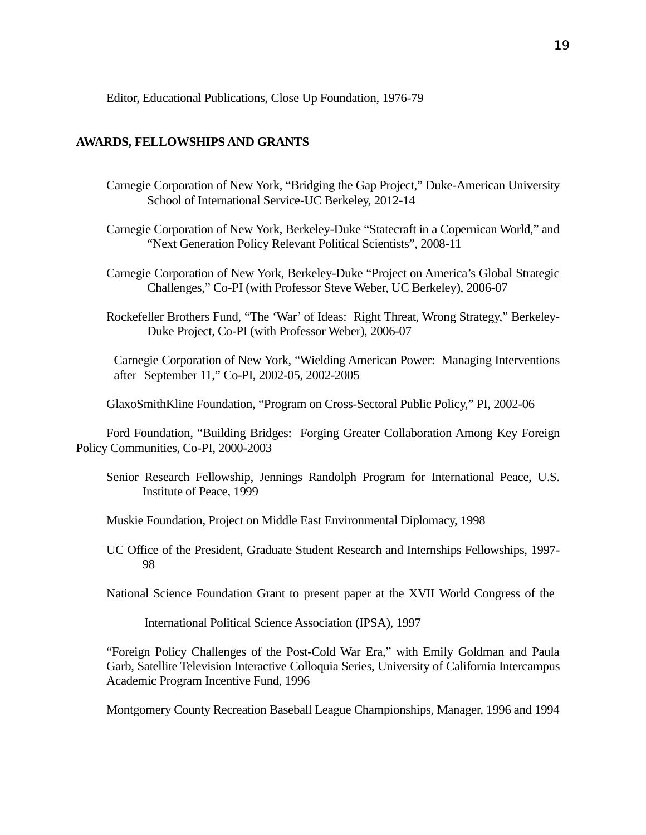## Editor, Educational Publications, Close Up Foundation, 1976-79

## **AWARDS, FELLOWSHIPS AND GRANTS**

- Carnegie Corporation of New York, "Bridging the Gap Project," Duke-American University School of International Service-UC Berkeley, 2012-14
- Carnegie Corporation of New York, Berkeley-Duke "Statecraft in a Copernican World," and "Next Generation Policy Relevant Political Scientists", 2008-11
- Carnegie Corporation of New York, Berkeley-Duke "Project on America's Global Strategic Challenges," Co-PI (with Professor Steve Weber, UC Berkeley), 2006-07
- Rockefeller Brothers Fund, "The 'War' of Ideas: Right Threat, Wrong Strategy," Berkeley-Duke Project, Co-PI (with Professor Weber), 2006-07

Carnegie Corporation of New York, "Wielding American Power: Managing Interventions after September 11," Co-PI, 2002-05, 2002-2005

GlaxoSmithKline Foundation, "Program on Cross-Sectoral Public Policy," PI, 2002-06

Ford Foundation, "Building Bridges: Forging Greater Collaboration Among Key Foreign Policy Communities, Co-PI, 2000-2003

- Senior Research Fellowship, Jennings Randolph Program for International Peace, U.S. Institute of Peace, 1999
- Muskie Foundation, Project on Middle East Environmental Diplomacy, 1998
- UC Office of the President, Graduate Student Research and Internships Fellowships, 1997- 98

National Science Foundation Grant to present paper at the XVII World Congress of the

International Political Science Association (IPSA), 1997

"Foreign Policy Challenges of the Post-Cold War Era," with Emily Goldman and Paula Garb, Satellite Television Interactive Colloquia Series, University of California Intercampus Academic Program Incentive Fund, 1996

Montgomery County Recreation Baseball League Championships, Manager, 1996 and 1994